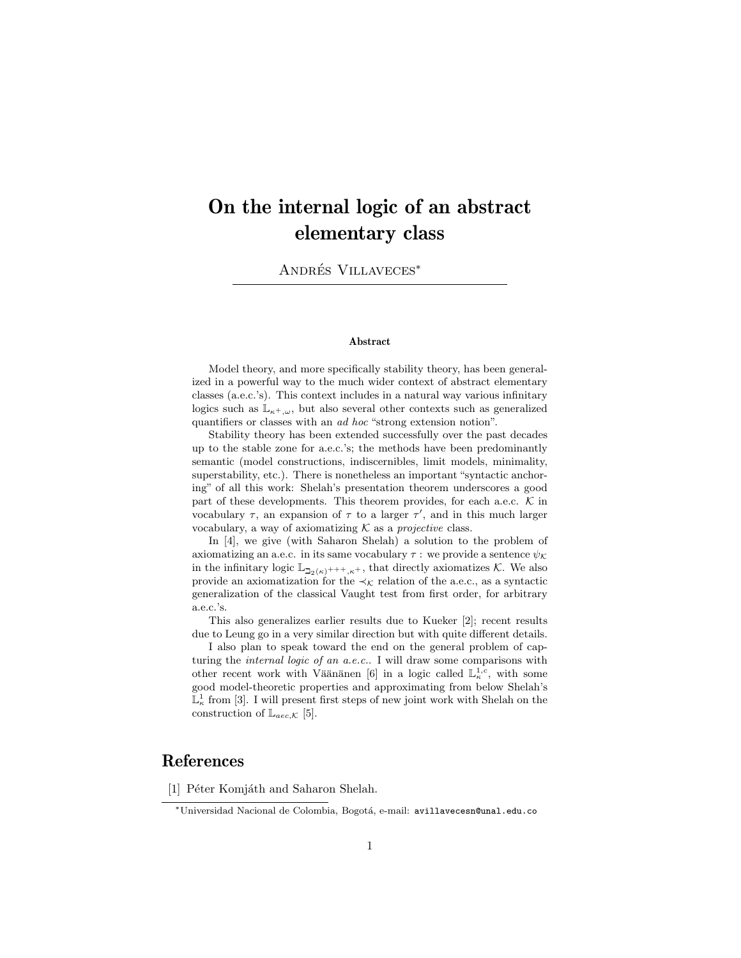## On the internal logic of an abstract elementary class

ANDRÉS VILLAVECES<sup>\*</sup>

## Abstract

Model theory, and more specifically stability theory, has been generalized in a powerful way to the much wider context of abstract elementary classes (a.e.c.'s). This context includes in a natural way various infinitary logics such as  $\mathbb{L}_{\kappa^+,\omega}$ , but also several other contexts such as generalized quantifiers or classes with an ad hoc "strong extension notion".

Stability theory has been extended successfully over the past decades up to the stable zone for a.e.c.'s; the methods have been predominantly semantic (model constructions, indiscernibles, limit models, minimality, superstability, etc.). There is nonetheless an important "syntactic anchoring" of all this work: Shelah's presentation theorem underscores a good part of these developments. This theorem provides, for each a.e.c.  $K$  in vocabulary  $\tau$ , an expansion of  $\tau$  to a larger  $\tau'$ , and in this much larger vocabulary, a way of axiomatizing  $K$  as a *projective* class.

In [4], we give (with Saharon Shelah) a solution to the problem of axiomatizing an a.e.c. in its same vocabulary  $\tau$  : we provide a sentence  $\psi_{\mathcal{K}}$ in the infinitary logic  $\mathbb{L}_{\mathbb{L}_2(\kappa)^{+++},\kappa^+}$ , that directly axiomatizes K. We also provide an axiomatization for the  $\prec_{\mathcal{K}}$  relation of the a.e.c., as a syntactic generalization of the classical Vaught test from first order, for arbitrary a.e.c.'s.

This also generalizes earlier results due to Kueker [2]; recent results due to Leung go in a very similar direction but with quite different details.

I also plan to speak toward the end on the general problem of capturing the internal logic of an a.e.c.. I will draw some comparisons with other recent work with Väänänen [6] in a logic called  $\mathbb{L}^{1,c}_{\kappa}$ , with some good model-theoretic properties and approximating from below Shelah's  $\mathbb{L}^1_{\kappa}$  from [3]. I will present first steps of new joint work with Shelah on the construction of  $\mathbb{L}_{\textit{aec},\mathcal{K}}$  [5].

## References

[1] Péter Komjáth and Saharon Shelah.

<sup>∗</sup>Universidad Nacional de Colombia, Bogot´a, e-mail: avillavecesn@unal.edu.co